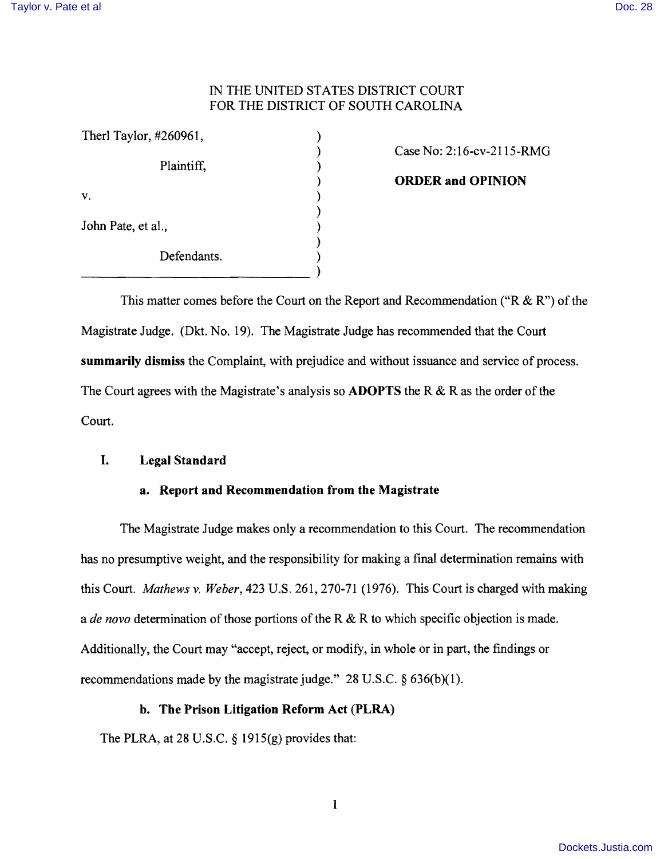# IN THE UNITED STATES DISTRICT COURT FOR THE DISTRICT OF SOUTH CAROLINA

| Therl Taylor, #260961, |  |
|------------------------|--|
| Plaintiff,             |  |
| V.                     |  |
| John Pate, et al.,     |  |
| Defendants.            |  |
|                        |  |

) Case No: 2:16-cv-2115-RMG

) **ORDER and OPINION** 

This matter comes before the Court on the Report and Recommendation ("R & R") of the Magistrate Judge. (Dkt. No. 19). The Magistrate Judge has recommended that the Court **summarily dismiss** the Complaint, with prejudice and without issuance and service of process. The Court agrees with the Magistrate's analysis so **ADOPTS** the R & R as the order of the Court.

# **I. Legal Standard**

## **a. Report and Recommendation from the Magistrate**

The Magistrate Judge makes only a recommendation to this Court. The recommendation has no presumptive weight, and the responsibility for making a final determination remains with this Court. *Mathews* v. *Weber,* 423 U.S. 261,270-71 (1976). This Court is charged with making a *de novo* determination of those portions of the R & R to which specific objection is made. Additionally, the Court may "accept, reject, or modify, in whole or in part, the findings or recommendations made by the magistrate judge." 28 U.S.C. § 636(b)(1).

## **b. The Prison Litigation Reform Act (PLRA)**

The PLRA, at 28 U.S.C. § 1915(g) provides that: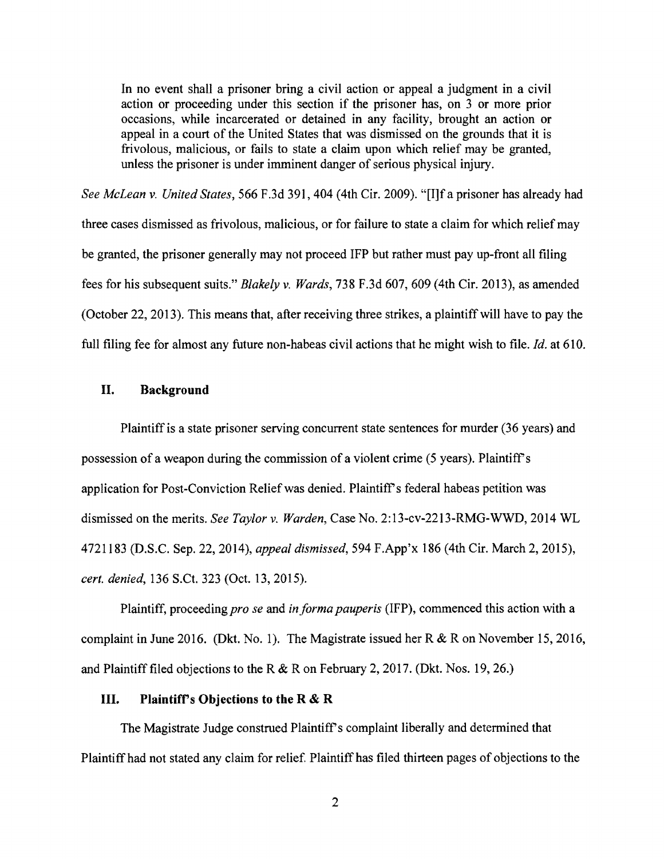In no event shall a prisoner bring a civil action or appeal a judgment in a civil action or proceeding under this section if the prisoner has, on 3 or more prior occasions, while incarcerated or detained in any facility, brought an action or appeal in a court of the United States that was dismissed on the grounds that it is frivolous, malicious, or fails to state a claim upon which relief may be granted, unless the prisoner is under imminent danger of serious physical injury.

*See McLean* v. *United States,* 566 F .3d 391, 404 (4th Cir. 2009). "[I]f a prisoner has already had three cases dismissed as frivolous, malicious, or for failure to state a claim for which relief may be granted, the prisoner generally may not proceed IFP but rather must pay up-front all filing fees for his subsequent suits." *Blakely* v. *Wards,* 738 F.3d 607, 609 (4th Cir. 2013), as amended (October 22,2013). This means that, after receiving three strikes, a plaintiff will have to pay the full filing fee for almost any future non-habeas civil actions that he might wish to file.  $Id$  at 610.

## **II. Background**

Plaintiff is a state prisoner serving concurrent state sentences for murder (36 years) and possession of a weapon during the commission of a violent crime (5 years). Plaintiff's application for Post-Conviction Relief was denied. Plaintiff's federal habeas petition was dismissed on the merits. *See Taylor* v. *Warden,* Case No. 2: 13-cv-2213-RMG-WWD, 2014 WL 4721183 (D.S.C. Sep. 22, 2014), *appeal dismissed,* 594 F.App'x 186 (4th Cir. March 2,2015), *cert. denied,* 136 S.Ct. 323 (Oct. 13, 2015).

Plaintiff, proceeding *pro se and in forma pauperis* (IFP), commenced this action with a complaint in June 2016. (Dkt. No.1). The Magistrate issued her R & R on November 15, 2016, and Plaintiff filed objections to the R & R on February 2, 2017. (Dkt. Nos. 19, 26.)

#### **III. Plaintifrs Objections to the R & R**

The Magistrate Judge construed Plaintiff's complaint liberally and determined that Plaintiff had not stated any claim for relief. Plaintiff has filed thirteen pages of objections to the

2